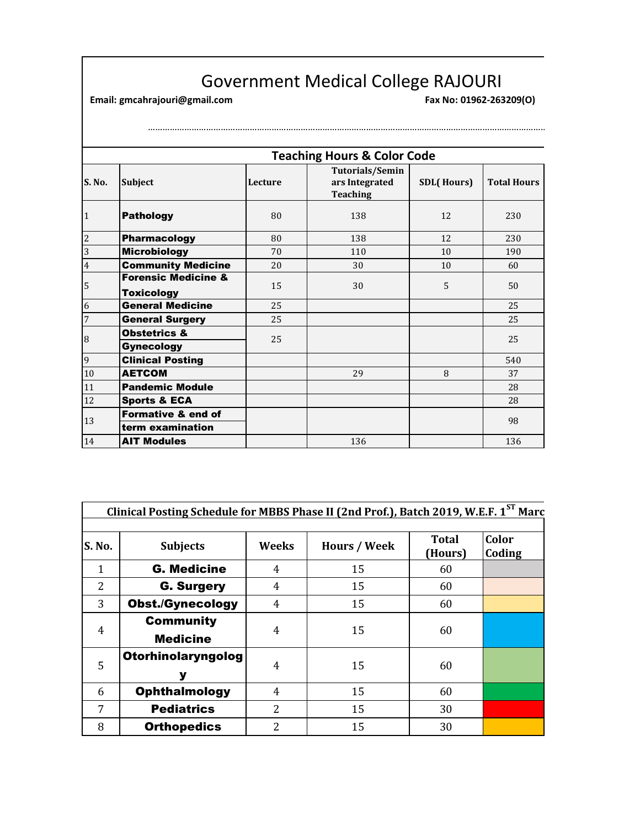## Government Medical College RAJOURI<br>
Fax No: 01962-263209(0)

………………………………………………………………………………………………………………………………………………………………………

**Email: gmcahrajouri@gmail.com Fax No: 01962-263209(O)** 

|                | <b>Teaching Hours &amp; Color Code</b>              |         |                                                             |                   |                    |
|----------------|-----------------------------------------------------|---------|-------------------------------------------------------------|-------------------|--------------------|
| S. No.         | Subject                                             | Lecture | <b>Tutorials/Semin</b><br>ars Integrated<br><b>Teaching</b> | <b>SDL(Hours)</b> | <b>Total Hours</b> |
| 1              | <b>Pathology</b>                                    | 80      | 138                                                         | 12                | 230                |
| $\overline{2}$ | <b>Pharmacology</b>                                 | 80      | 138                                                         | 12                | 230                |
| 3              | <b>Microbiology</b>                                 | 70      | 110                                                         | 10                | 190                |
| $\overline{4}$ | <b>Community Medicine</b>                           | 20      | 30                                                          | 10                | 60                 |
| 5              | <b>Forensic Medicine &amp;</b><br><b>Toxicology</b> | 15      | 30                                                          | 5                 | 50                 |
| 6              | <b>General Medicine</b>                             | 25      |                                                             |                   | 25                 |
| $\overline{7}$ | <b>General Surgery</b>                              | 25      |                                                             |                   | 25                 |
| 8              | <b>Obstetrics &amp;</b><br><b>Gynecology</b>        | 25      |                                                             |                   | 25                 |
| 9              | <b>Clinical Posting</b>                             |         |                                                             |                   | 540                |
| $10\,$         | <b>AETCOM</b>                                       |         | 29                                                          | 8                 | 37                 |
| 11             | <b>Pandemic Module</b>                              |         |                                                             |                   | 28                 |
| 12             | <b>Sports &amp; ECA</b>                             |         |                                                             |                   | 28                 |
| 13             | <b>Formative &amp; end of</b><br>term examination   |         |                                                             |                   | 98                 |
| 14             | <b>AIT Modules</b>                                  |         | 136                                                         |                   | 136                |

| Clinical Posting Schedule for MBBS Phase II (2nd Prof.), Batch 2019, W.E.F. 1ST Marc |                                     |                |                     |                         |                 |
|--------------------------------------------------------------------------------------|-------------------------------------|----------------|---------------------|-------------------------|-----------------|
| <b>S. No.</b>                                                                        | <b>Subjects</b>                     | Weeks          | <b>Hours / Week</b> | <b>Total</b><br>(Hours) | Color<br>Coding |
| 1                                                                                    | <b>G. Medicine</b>                  | 4              | 15                  | 60                      |                 |
| $\overline{2}$                                                                       | <b>G. Surgery</b>                   | 4              | 15                  | 60                      |                 |
| 3                                                                                    | <b>Obst./Gynecology</b>             | 4              | 15                  | 60                      |                 |
| 4                                                                                    | <b>Community</b><br><b>Medicine</b> | 4              | 15                  | 60                      |                 |
| 5                                                                                    | Otorhinolaryngolog<br>У             | $\overline{4}$ | 15                  | 60                      |                 |
| 6                                                                                    | <b>Ophthalmology</b>                | 4              | 15                  | 60                      |                 |
| 7                                                                                    | <b>Pediatrics</b>                   | 2              | 15                  | 30                      |                 |
| 8                                                                                    | <b>Orthopedics</b>                  | 2              | 15                  | 30                      |                 |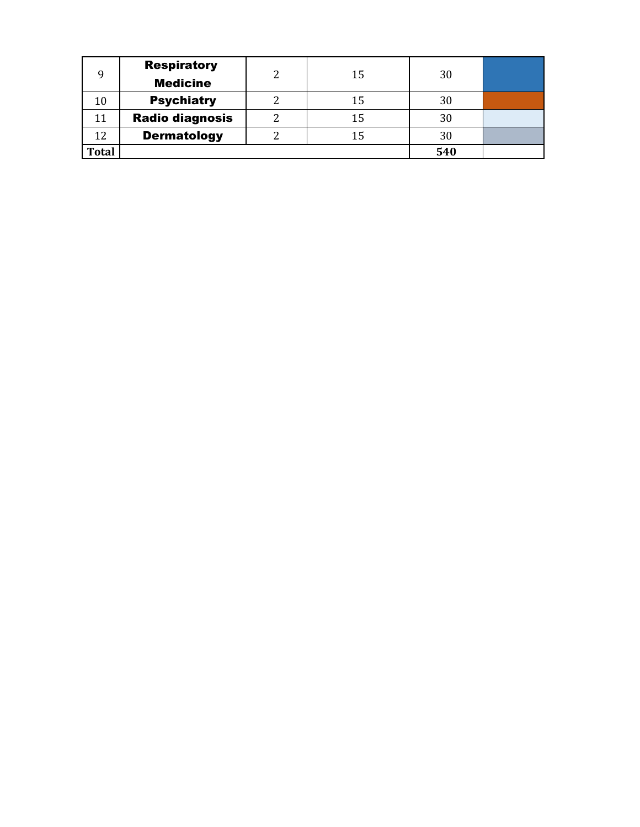| Q            | <b>Respiratory</b>     | າ | 15 | 30  |  |
|--------------|------------------------|---|----|-----|--|
|              | <b>Medicine</b>        |   |    |     |  |
| 10           | <b>Psychiatry</b>      |   | 15 | 30  |  |
|              | <b>Radio diagnosis</b> |   | 15 | 30  |  |
| 12           | <b>Dermatology</b>     |   | 15 | 30  |  |
| <b>Total</b> |                        |   |    | 540 |  |